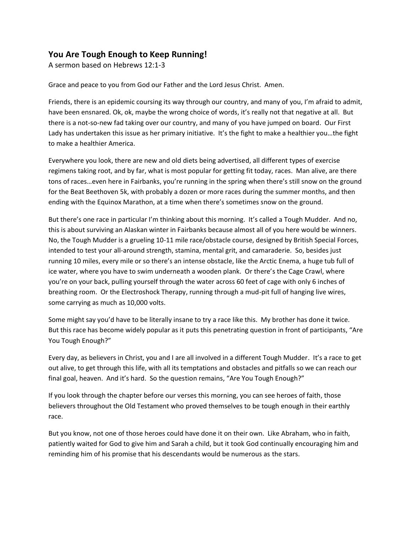## **You Are Tough Enough to Keep Running!**

A sermon based on Hebrews 12:1-3

Grace and peace to you from God our Father and the Lord Jesus Christ. Amen.

Friends, there is an epidemic coursing its way through our country, and many of you, I'm afraid to admit, have been ensnared. Ok, ok, maybe the wrong choice of words, it's really not that negative at all. But there is a not-so-new fad taking over our country, and many of you have jumped on board. Our First Lady has undertaken this issue as her primary initiative. It's the fight to make a healthier you…the fight to make a healthier America.

Everywhere you look, there are new and old diets being advertised, all different types of exercise regimens taking root, and by far, what is most popular for getting fit today, races. Man alive, are there tons of races…even here in Fairbanks, you're running in the spring when there's still snow on the ground for the Beat Beethoven 5k, with probably a dozen or more races during the summer months, and then ending with the Equinox Marathon, at a time when there's sometimes snow on the ground.

But there's one race in particular I'm thinking about this morning. It's called a Tough Mudder. And no, this is about surviving an Alaskan winter in Fairbanks because almost all of you here would be winners. No, the Tough Mudder is a grueling 10-11 mile race/obstacle course, designed by British Special Forces, intended to test your all-around strength, stamina, mental grit, and camaraderie. So, besides just running 10 miles, every mile or so there's an intense obstacle, like the Arctic Enema, a huge tub full of ice water, where you have to swim underneath a wooden plank. Or there's the Cage Crawl, where you're on your back, pulling yourself through the water across 60 feet of cage with only 6 inches of breathing room. Or the Electroshock Therapy, running through a mud-pit full of hanging live wires, some carrying as much as 10,000 volts.

Some might say you'd have to be literally insane to try a race like this. My brother has done it twice. But this race has become widely popular as it puts this penetrating question in front of participants, "Are You Tough Enough?"

Every day, as believers in Christ, you and I are all involved in a different Tough Mudder. It's a race to get out alive, to get through this life, with all its temptations and obstacles and pitfalls so we can reach our final goal, heaven. And it's hard. So the question remains, "Are You Tough Enough?"

If you look through the chapter before our verses this morning, you can see heroes of faith, those believers throughout the Old Testament who proved themselves to be tough enough in their earthly race.

But you know, not one of those heroes could have done it on their own. Like Abraham, who in faith, patiently waited for God to give him and Sarah a child, but it took God continually encouraging him and reminding him of his promise that his descendants would be numerous as the stars.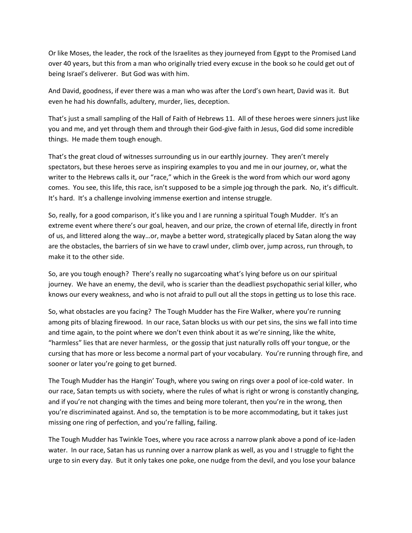Or like Moses, the leader, the rock of the Israelites as they journeyed from Egypt to the Promised Land over 40 years, but this from a man who originally tried every excuse in the book so he could get out of being Israel's deliverer. But God was with him.

And David, goodness, if ever there was a man who was after the Lord's own heart, David was it. But even he had his downfalls, adultery, murder, lies, deception.

That's just a small sampling of the Hall of Faith of Hebrews 11. All of these heroes were sinners just like you and me, and yet through them and through their God-give faith in Jesus, God did some incredible things. He made them tough enough.

That's the great cloud of witnesses surrounding us in our earthly journey. They aren't merely spectators, but these heroes serve as inspiring examples to you and me in our journey, or, what the writer to the Hebrews calls it, our "race," which in the Greek is the word from which our word agony comes. You see, this life, this race, isn't supposed to be a simple jog through the park. No, it's difficult. It's hard. It's a challenge involving immense exertion and intense struggle.

So, really, for a good comparison, it's like you and I are running a spiritual Tough Mudder. It's an extreme event where there's our goal, heaven, and our prize, the crown of eternal life, directly in front of us, and littered along the way…or, maybe a better word, strategically placed by Satan along the way are the obstacles, the barriers of sin we have to crawl under, climb over, jump across, run through, to make it to the other side.

So, are you tough enough? There's really no sugarcoating what's lying before us on our spiritual journey. We have an enemy, the devil, who is scarier than the deadliest psychopathic serial killer, who knows our every weakness, and who is not afraid to pull out all the stops in getting us to lose this race.

So, what obstacles are you facing? The Tough Mudder has the Fire Walker, where you're running among pits of blazing firewood. In our race, Satan blocks us with our pet sins, the sins we fall into time and time again, to the point where we don't even think about it as we're sinning, like the white, "harmless" lies that are never harmless, or the gossip that just naturally rolls off your tongue, or the cursing that has more or less become a normal part of your vocabulary. You're running through fire, and sooner or later you're going to get burned.

The Tough Mudder has the Hangin' Tough, where you swing on rings over a pool of ice-cold water. In our race, Satan tempts us with society, where the rules of what is right or wrong is constantly changing, and if you're not changing with the times and being more tolerant, then you're in the wrong, then you're discriminated against. And so, the temptation is to be more accommodating, but it takes just missing one ring of perfection, and you're falling, failing.

The Tough Mudder has Twinkle Toes, where you race across a narrow plank above a pond of ice-laden water. In our race, Satan has us running over a narrow plank as well, as you and I struggle to fight the urge to sin every day. But it only takes one poke, one nudge from the devil, and you lose your balance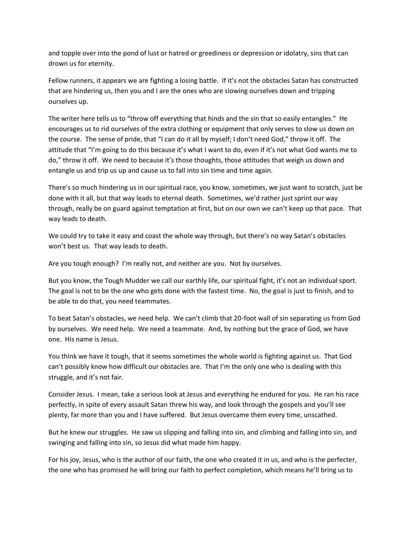and topple over into the pond of lust or hatred or greediness or depression or idolatry, sins that can drown us for eternity.

Fellow runners, it appears we are fighting a losing battle. If it's not the obstacles Satan has constructed that are hindering us, then you and I are the ones who are slowing ourselves down and tripping ourselves up.

The writer here tells us to "throw off everything that hinds and the sin that so easily entangles." He encourages us to rid ourselves of the extra clothing or equipment that only serves to slow us down on the course. The sense of pride, that "I can do it all by myself; I don't need God," throw it off. The attitude that "I'm going to do this because it's what I want to do, even if it's not what God wants me to do," throw it off. We need to because it's those thoughts, those attitudes that weigh us down and entangle us and trip us up and cause us to fall into sin time and time again.

There's so much hindering us in our spiritual race, you know, sometimes, we just want to scratch, just be done with it all, but that way leads to eternal death. Sometimes, we'd rather just sprint our way through, really be on guard against temptation at first, but on our own we can't keep up that pace. That way leads to death.

We could try to take it easy and coast the whole way through, but there's no way Satan's obstacles won't best us. That way leads to death.

Are you tough enough? I'm really not, and neither are you. Not by ourselves.

But you know, the Tough Mudder we call our earthly life, our spiritual fight, it's not an individual sport. The goal is not to be the one who gets done with the fastest time. No, the goal is just to finish, and to be able to do that, you need teammates.

To beat Satan's obstacles, we need help. We can't climb that 20-foot wall of sin separating us from God by ourselves. We need help. We need a teammate. And, by nothing but the grace of God, we have one. His name is Jesus.

You think we have it tough, that it seems sometimes the whole world is fighting against us. That God can't possibly know how difficult our obstacles are. That I'm the only one who is dealing with this struggle, and it's not fair.

Consider Jesus. I mean, take a serious look at Jesus and everything he endured for you. He ran his race perfectly, in spite of every assault Satan threw his way, and look through the gospels and you'll see plenty, far more than you and I have suffered. But Jesus overcame them every time, unscathed.

But he knew our struggles. He saw us slipping and falling into sin, and climbing and falling into sin, and swinging and falling into sin, so Jesus did what made him happy.

For his joy, Jesus, who is the author of our faith, the one who created it in us, and who is the perfecter, the one who has promised he will bring our faith to perfect completion, which means he'll bring us to